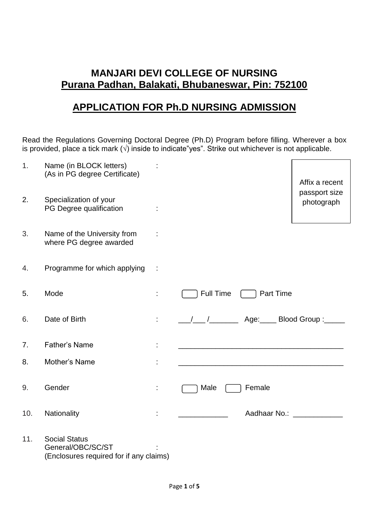# **MANJARI DEVI COLLEGE OF NURSING Purana Padhan, Balakati, Bhubaneswar, Pin: 752100**

# **APPLICATION FOR Ph.D NURSING ADMISSION**

Read the Regulations Governing Doctoral Degree (Ph.D) Program before filling. Wherever a box is provided, place a tick mark  $(\sqrt{)}$  inside to indicate"yes". Strike out whichever is not applicable.

| 1.  | Name (in BLOCK letters)<br>(As in PG degree Certificate)                             |                                                                   | Affix a recent              |
|-----|--------------------------------------------------------------------------------------|-------------------------------------------------------------------|-----------------------------|
| 2.  | Specialization of your<br>PG Degree qualification                                    |                                                                   | passport size<br>photograph |
| 3.  | Name of the University from<br>where PG degree awarded                               |                                                                   |                             |
| 4.  | Programme for which applying                                                         |                                                                   |                             |
| 5.  | Mode                                                                                 | Full Time<br><b>Part Time</b>                                     |                             |
| 6.  | Date of Birth                                                                        |                                                                   |                             |
| 7.  | <b>Father's Name</b>                                                                 | <u> 1980 - Johann John Stone, mars eta biztanleria (h. 1980).</u> |                             |
| 8.  | Mother's Name                                                                        | <u> 1989 - Johann John Stone, mars eta biztanleria (h. 1982).</u> |                             |
| 9.  | Gender                                                                               | Female<br>Male                                                    |                             |
| 10. | Nationality                                                                          | Aadhaar No.: ____________                                         |                             |
| 11. | <b>Social Status</b><br>General/OBC/SC/ST<br>(Enclosures required for if any claims) |                                                                   |                             |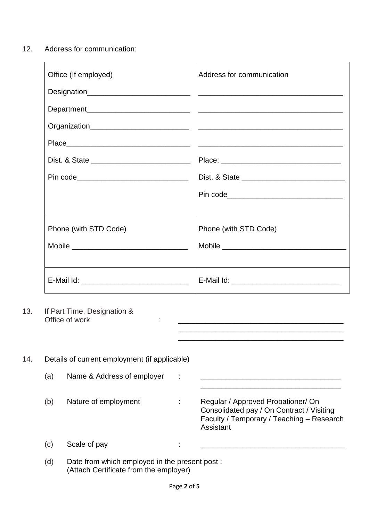12. Address for communication:

| Office (If employed)                       | Address for communication                                                                                                |
|--------------------------------------------|--------------------------------------------------------------------------------------------------------------------------|
| Designation_______________________________ | <u> 1980 - Jan Jan James, martin amerikan basar dan bagi dan basa dan bagi dan basar dan bagi dalam bagi dan bagi da</u> |
|                                            |                                                                                                                          |
|                                            |                                                                                                                          |
|                                            |                                                                                                                          |
|                                            |                                                                                                                          |
| Pin code__________________________________ |                                                                                                                          |
|                                            |                                                                                                                          |
|                                            |                                                                                                                          |
| Phone (with STD Code)                      | Phone (with STD Code)                                                                                                    |
|                                            |                                                                                                                          |
|                                            |                                                                                                                          |
|                                            |                                                                                                                          |

Office of work : \_\_\_\_\_\_\_\_\_\_\_\_\_\_\_\_\_\_\_\_\_\_\_\_\_\_\_\_\_\_\_\_\_\_\_\_\_\_\_\_

\_\_\_\_\_\_\_\_\_\_\_\_\_\_\_\_\_\_\_\_\_\_\_\_\_\_\_\_\_\_\_\_\_\_\_\_\_\_\_\_

 $\mathcal{L}_\text{max}$  , and the set of the set of the set of the set of the set of the set of the set of the set of the set of the set of the set of the set of the set of the set of the set of the set of the set of the set of the

13. If Part Time, Designation &<br>Office of work

| 14. | Details of current employment (if applicable) |                                                                                         |   |                                                                                                                                           |  |  |  |
|-----|-----------------------------------------------|-----------------------------------------------------------------------------------------|---|-------------------------------------------------------------------------------------------------------------------------------------------|--|--|--|
|     | (a)                                           | Name & Address of employer                                                              | ÷ |                                                                                                                                           |  |  |  |
|     | (b)                                           | Nature of employment                                                                    |   | Regular / Approved Probationer/ On<br>Consolidated pay / On Contract / Visiting<br>Faculty / Temporary / Teaching - Research<br>Assistant |  |  |  |
|     | (c)                                           | Scale of pay                                                                            | ٠ |                                                                                                                                           |  |  |  |
|     | (d)                                           | Date from which employed in the present post:<br>(Attach Certificate from the employer) |   |                                                                                                                                           |  |  |  |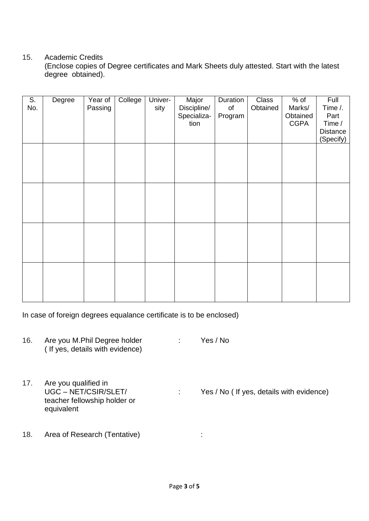### 15. Academic Credits

(Enclose copies of Degree certificates and Mark Sheets duly attested. Start with the latest degree obtained).

| $\overline{\mathsf{S}}$ . | Degree | Year of | College | Univer- | Major       | Duration | <b>Class</b> | $%$ of      | Full      |
|---------------------------|--------|---------|---------|---------|-------------|----------|--------------|-------------|-----------|
| No.                       |        | Passing |         | sity    | Discipline/ | of       | Obtained     | Marks/      | Time /.   |
|                           |        |         |         |         | Specializa- | Program  |              | Obtained    | Part      |
|                           |        |         |         |         | tion        |          |              | <b>CGPA</b> | Time /    |
|                           |        |         |         |         |             |          |              |             | Distance  |
|                           |        |         |         |         |             |          |              |             | (Specify) |
|                           |        |         |         |         |             |          |              |             |           |
|                           |        |         |         |         |             |          |              |             |           |
|                           |        |         |         |         |             |          |              |             |           |
|                           |        |         |         |         |             |          |              |             |           |
|                           |        |         |         |         |             |          |              |             |           |
|                           |        |         |         |         |             |          |              |             |           |
|                           |        |         |         |         |             |          |              |             |           |
|                           |        |         |         |         |             |          |              |             |           |
|                           |        |         |         |         |             |          |              |             |           |
|                           |        |         |         |         |             |          |              |             |           |
|                           |        |         |         |         |             |          |              |             |           |
|                           |        |         |         |         |             |          |              |             |           |
|                           |        |         |         |         |             |          |              |             |           |
|                           |        |         |         |         |             |          |              |             |           |
|                           |        |         |         |         |             |          |              |             |           |
|                           |        |         |         |         |             |          |              |             |           |
|                           |        |         |         |         |             |          |              |             |           |
|                           |        |         |         |         |             |          |              |             |           |
|                           |        |         |         |         |             |          |              |             |           |
|                           |        |         |         |         |             |          |              |             |           |

In case of foreign degrees equalance certificate is to be enclosed)

| 16. | Are you M.Phil Degree holder<br>(If yes, details with evidence)                          | Yes / No                                  |
|-----|------------------------------------------------------------------------------------------|-------------------------------------------|
| 17. | Are you qualified in<br>UGC-NET/CSIR/SLET/<br>teacher fellowship holder or<br>equivalent | Yes / No ( If yes, details with evidence) |
| 18. | Area of Research (Tentative)                                                             |                                           |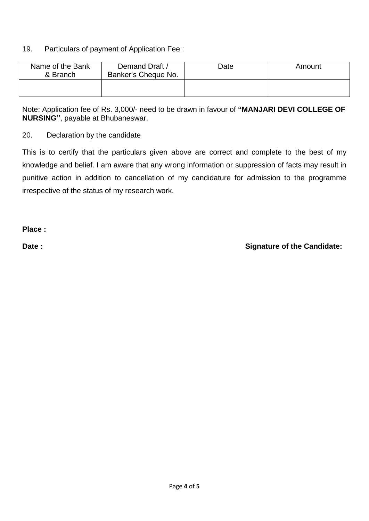### 19. Particulars of payment of Application Fee :

| Name of the Bank<br>& Branch | Demand Draft /<br>Banker's Cheque No. | Date | Amount |
|------------------------------|---------------------------------------|------|--------|
|                              |                                       |      |        |

Note: Application fee of Rs. 3,000/- need to be drawn in favour of **"MANJARI DEVI COLLEGE OF NURSING"**, payable at Bhubaneswar.

20. Declaration by the candidate

This is to certify that the particulars given above are correct and complete to the best of my knowledge and belief. I am aware that any wrong information or suppression of facts may result in punitive action in addition to cancellation of my candidature for admission to the programme irrespective of the status of my research work.

**Place :**

Date : **Canadidate: Date :** Signature of the Candidate: